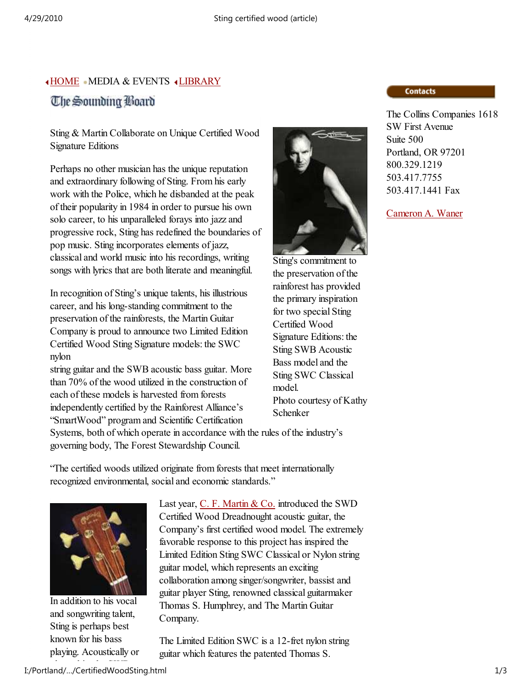## HOME MEDIA & EVENTS LIBRARY The Sounding Board

Sting & Martin Collaborate on Unique Certified Wood Signature Editions

Perhaps no other musician has the unique reputation and extraordinary following of Sting. From his early work with the Police, which he disbanded at the peak of their popularity in 1984 in order to pursue his own solo career, to his unparalleled forays into jazz and progressive rock, Sting has redefined the boundaries of pop music. Sting incorporates elements of jazz, classical and world music into his recordings, writing songs with lyrics that are both literate and meaningful.

In recognition of Sting's unique talents, his illustrious career, and his long-standing commitment to the preservation of the rainforests, the Martin Guitar Company is proud to announce two Limited Edition Certified Wood Sting Signature models: the SWC nylon

string guitar and the SWB acoustic bass guitar. More than 70% of the wood utilized in the construction of each of these models is harvested from forests independently certified by the Rainforest Alliance's "SmartWood" program and Scientific Certification



Sting's commitment to the preservation of the rainforest has provided the primary inspiration for two special Sting Certified Wood Signature Editions: the Sting SWB Acoustic Bass model and the Sting SWC Classical model. Photo courtesy of Kathy Schenker

Systems, both of which operate in accordance with the rules of the industry's governing body, The Forest Stewardship Council.

"The certified woods utilized originate from forests that meet internationally recognized environmental, social and economic standards."



In addition to his vocal and songwriting talent, Sting is perhaps best known for his bass playing. Acoustically or

Last year,  $C$ . F. Martin & Co. introduced the SWD Certified Wood Dreadnought acoustic guitar, the Company's first certified wood model. The extremely favorable response to this project has inspired the Limited Edition Sting SWC Classical or Nylon string guitar model, which represents an exciting collaboration among singer/songwriter, bassist and guitar player Sting, renowned classical guitarmaker Thomas S. Humphrey, and The Martin Guitar Company.

The Limited Edition SWC is a 12-fret nylon string guitar which features the patented Thomas S.

## **Contacts**

The Collins Companies 1618 SW First Avenue Suite 500 Portland, OR 97201 800.329.1219 503.417.7755 503.417.1441 Fax

Cameron A. Waner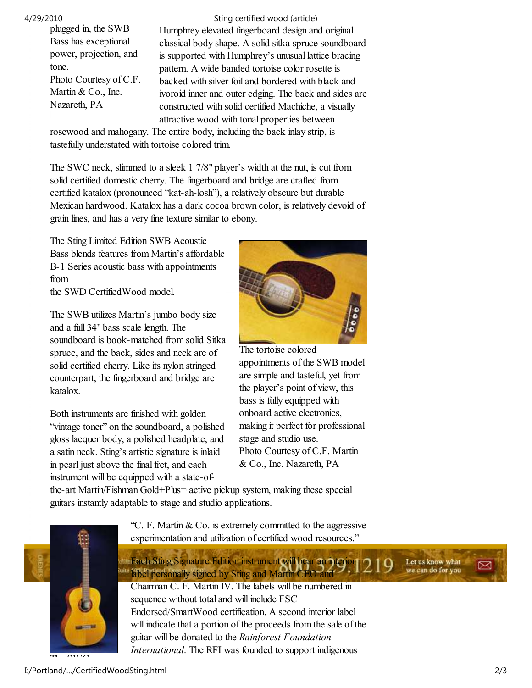plugged in, the SWB Bass has exceptional power, projection, and tone. Photo Courtesy of C.F. Martin & Co., Inc. Nazareth, PA

Humphrey elevated fingerboard design and original classical body shape. A solid sitka spruce soundboard is supported with Humphrey's unusual lattice bracing pattern. A wide banded tortoise color rosette is backed with silver foil and bordered with black and ivoroid inner and outer edging. The back and sides are constructed with solid certified Machiche, a visually attractive wood with tonal properties between 4/29/2010 Sting certified wood (article)

rosewood and mahogany. The entire body, including the back inlay strip, is tastefully understated with tortoise colored trim.

The SWC neck, slimmed to a sleek 1 7/8" player's width at the nut, is cut from solid certified domestic cherry. The fingerboard and bridge are crafted from certified katalox (pronounced "kat-ah-losh"), a relatively obscure but durable Mexican hardwood. Katalox has a dark cocoa brown color, is relatively devoid of grain lines, and has a very fine texture similar to ebony.

The Sting Limited Edition SWB Acoustic Bass blends features from Martin's affordable B-1 Series acoustic bass with appointments from the SWD CertifiedWood model.

The SWB utilizes Martin's jumbo body size and a full 34" bass scale length. The soundboard is book-matched from solid Sitka spruce, and the back, sides and neck are of solid certified cherry. Like its nylon stringed counterpart, the fingerboard and bridge are katalox.

Both instruments are finished with golden "vintage toner" on the soundboard, a polished gloss lacquer body, a polished headplate, and a satin neck. Sting's artistic signature is inlaid in pearl just above the final fret, and each instrument will be equipped with a state-of-



The tortoise colored appointments of the SWB model are simple and tasteful, yet from the player's point of view, this bass is fully equipped with onboard active electronics, making it perfect for professional stage and studio use. Photo Courtesy of C.F. Martin & Co., Inc. Nazareth, PA

the-art Martin/Fishman Gold+Plus¬ active pickup system, making these special guitars instantly adaptable to stage and studio applications.



"C. F. Martin & Co. is extremely committed to the aggressive experimentation and utilization of certified wood resources."